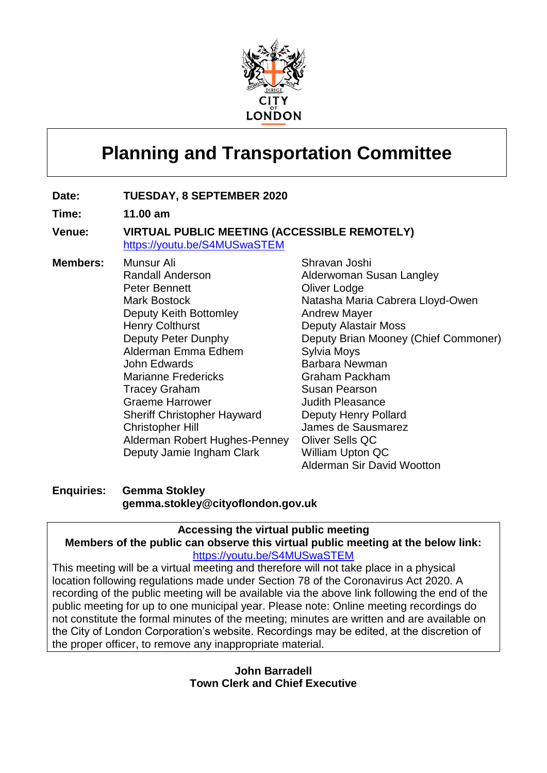

# **Planning and Transportation Committee**

## **Date: TUESDAY, 8 SEPTEMBER 2020**

**Time: 11.00 am**

### **Venue: VIRTUAL PUBLIC MEETING (ACCESSIBLE REMOTELY)** [https://youtu.be/S4MUSwaSTEM](https://gbr01.safelinks.protection.outlook.com/?url=https%3A%2F%2Fyoutu.be%2FS4MUSwaSTEM&data=01%7C01%7C%7C0c1f9683360e43f449af08d84a65377a%7C9fe658cdb3cd405685193222ffa96be8%7C1&sdata=rnKAV7v%2FfVVaHpWRyw30PnhN3LY0a64wQI4%2BfhcYrDU%3D&reserved=0)

**Members:** Munsur Ali

Randall Anderson Peter Bennett Mark Bostock Deputy Keith Bottomley Henry Colthurst Deputy Peter Dunphy Alderman Emma Edhem John Edwards Marianne Fredericks Tracey Graham Graeme Harrower Sheriff Christopher Hayward Christopher Hill Alderman Robert Hughes-Penney Deputy Jamie Ingham Clark

Shravan Joshi Alderwoman Susan Langley **Oliver Lodge** Natasha Maria Cabrera Lloyd-Owen Andrew Mayer Deputy Alastair Moss Deputy Brian Mooney (Chief Commoner) Sylvia Moys Barbara Newman Graham Packham Susan Pearson Judith Pleasance Deputy Henry Pollard James de Sausmarez Oliver Sells QC William Upton QC Alderman Sir David Wootton

# **Enquiries: Gemma Stokley gemma.stokley@cityoflondon.gov.uk**

### **Accessing the virtual public meeting Members of the public can observe this virtual public meeting at the below link:** [https://youtu.be/S4MUSwaSTEM](https://gbr01.safelinks.protection.outlook.com/?url=https%3A%2F%2Fyoutu.be%2FS4MUSwaSTEM&data=01%7C01%7C%7C0c1f9683360e43f449af08d84a65377a%7C9fe658cdb3cd405685193222ffa96be8%7C1&sdata=rnKAV7v%2FfVVaHpWRyw30PnhN3LY0a64wQI4%2BfhcYrDU%3D&reserved=0)

This meeting will be a virtual meeting and therefore will not take place in a physical location following regulations made under Section 78 of the Coronavirus Act 2020. A recording of the public meeting will be available via the above link following the end of the public meeting for up to one municipal year. Please note: Online meeting recordings do not constitute the formal minutes of the meeting; minutes are written and are available on the City of London Corporation's website. Recordings may be edited, at the discretion of the proper officer, to remove any inappropriate material.

## **John Barradell Town Clerk and Chief Executive**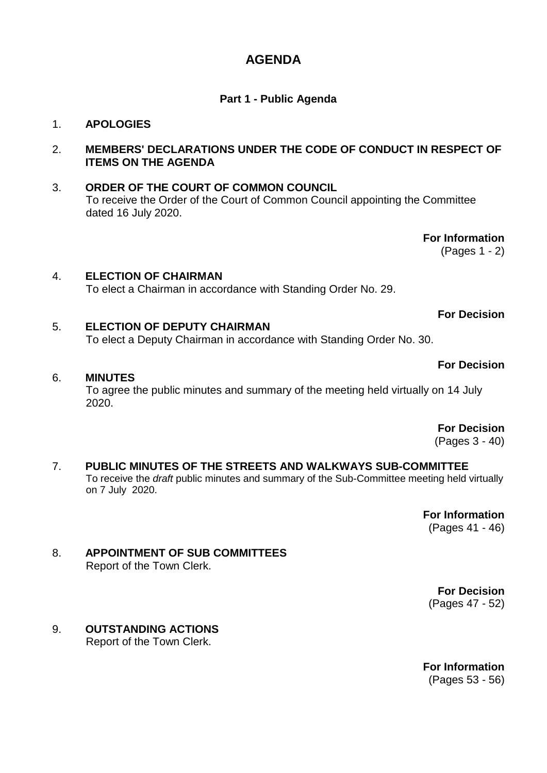# **AGENDA**

# **Part 1 - Public Agenda**

## 1. **APOLOGIES**

## 2. **MEMBERS' DECLARATIONS UNDER THE CODE OF CONDUCT IN RESPECT OF ITEMS ON THE AGENDA**

# 3. **ORDER OF THE COURT OF COMMON COUNCIL** To receive the Order of the Court of Common Council appointing the Committee dated 16 July 2020.

**For Information**

(Pages 1 - 2)

# 4. **ELECTION OF CHAIRMAN** To elect a Chairman in accordance with Standing Order No. 29.

# **For Decision**

**For Decision**

# 5. **ELECTION OF DEPUTY CHAIRMAN** To elect a Deputy Chairman in accordance with Standing Order No. 30.

# 6. **MINUTES**

To agree the public minutes and summary of the meeting held virtually on 14 July 2020.

**For Decision**

(Pages 3 - 40)

#### 7. **PUBLIC MINUTES OF THE STREETS AND WALKWAYS SUB-COMMITTEE** To receive the *draft* public minutes and summary of the Sub-Committee meeting held virtually on 7 July 2020.

**For Information** (Pages 41 - 46)

### 8. **APPOINTMENT OF SUB COMMITTEES** Report of the Town Clerk.

**For Decision** (Pages 47 - 52)

# 9. **OUTSTANDING ACTIONS**

Report of the Town Clerk.

**For Information** (Pages 53 - 56)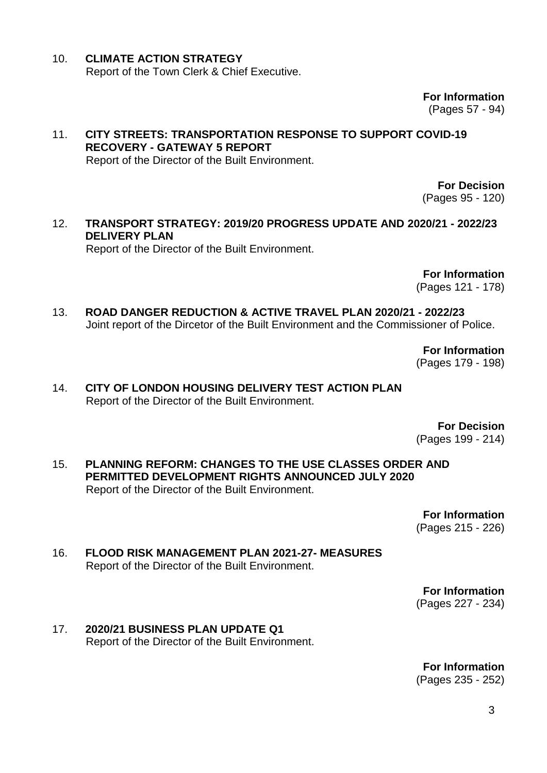### 10. **CLIMATE ACTION STRATEGY** Report of the Town Clerk & Chief Executive.

**For Information** (Pages 57 - 94)

11. **CITY STREETS: TRANSPORTATION RESPONSE TO SUPPORT COVID-19 RECOVERY - GATEWAY 5 REPORT** Report of the Director of the Built Environment.

> **For Decision** (Pages 95 - 120)

### 12. **TRANSPORT STRATEGY: 2019/20 PROGRESS UPDATE AND 2020/21 - 2022/23 DELIVERY PLAN** Report of the Director of the Built Environment.

**For Information**

(Pages 121 - 178)

13. **ROAD DANGER REDUCTION & ACTIVE TRAVEL PLAN 2020/21 - 2022/23** Joint report of the Dircetor of the Built Environment and the Commissioner of Police.

> **For Information** (Pages 179 - 198)

14. **CITY OF LONDON HOUSING DELIVERY TEST ACTION PLAN** Report of the Director of the Built Environment.

> **For Decision** (Pages 199 - 214)

15. **PLANNING REFORM: CHANGES TO THE USE CLASSES ORDER AND PERMITTED DEVELOPMENT RIGHTS ANNOUNCED JULY 2020** Report of the Director of the Built Environment.

> **For Information** (Pages 215 - 226)

16. **FLOOD RISK MANAGEMENT PLAN 2021-27- MEASURES** Report of the Director of the Built Environment.

> **For Information** (Pages 227 - 234)

17. **2020/21 BUSINESS PLAN UPDATE Q1** Report of the Director of the Built Environment.

> **For Information** (Pages 235 - 252)

> > 3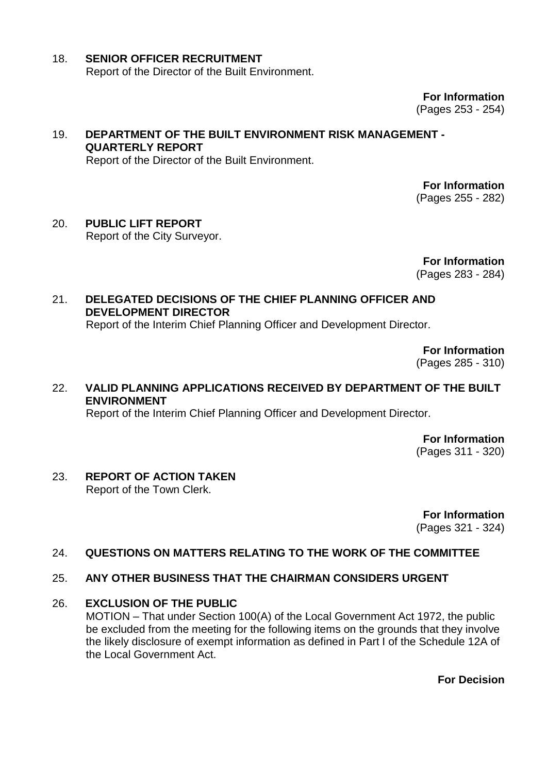# 18. **SENIOR OFFICER RECRUITMENT** Report of the Director of the Built Environment.

**For Information** (Pages 253 - 254)

### 19. **DEPARTMENT OF THE BUILT ENVIRONMENT RISK MANAGEMENT - QUARTERLY REPORT** Report of the Director of the Built Environment.

**For Information** (Pages 255 - 282)

# 20. **PUBLIC LIFT REPORT** Report of the City Surveyor.

**For Information**

(Pages 283 - 284)

# 21. **DELEGATED DECISIONS OF THE CHIEF PLANNING OFFICER AND DEVELOPMENT DIRECTOR**

Report of the Interim Chief Planning Officer and Development Director.

**For Information**

(Pages 285 - 310)

# 22. **VALID PLANNING APPLICATIONS RECEIVED BY DEPARTMENT OF THE BUILT ENVIRONMENT**

Report of the Interim Chief Planning Officer and Development Director.

**For Information** (Pages 311 - 320)

# 23. **REPORT OF ACTION TAKEN**

Report of the Town Clerk.

**For Information** (Pages 321 - 324)

# 24. **QUESTIONS ON MATTERS RELATING TO THE WORK OF THE COMMITTEE**

# 25. **ANY OTHER BUSINESS THAT THE CHAIRMAN CONSIDERS URGENT**

# 26. **EXCLUSION OF THE PUBLIC**

MOTION – That under Section 100(A) of the Local Government Act 1972, the public be excluded from the meeting for the following items on the grounds that they involve the likely disclosure of exempt information as defined in Part I of the Schedule 12A of the Local Government Act.

**For Decision**